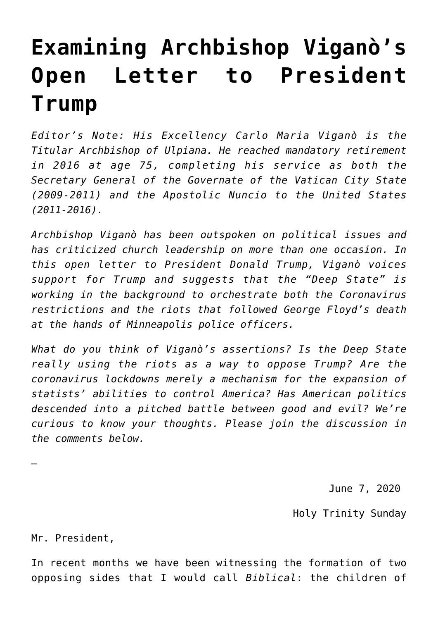## **[Examining Archbishop Viganò's](https://intellectualtakeout.org/2020/06/examining-archbishop-viganos-open-letter-to-president-trump/) [Open Letter to President](https://intellectualtakeout.org/2020/06/examining-archbishop-viganos-open-letter-to-president-trump/) [Trump](https://intellectualtakeout.org/2020/06/examining-archbishop-viganos-open-letter-to-president-trump/)**

*Editor's Note: His Excellency Carlo Maria Viganò is the Titular Archbishop of Ulpiana. He reached mandatory retirement in 2016 at age 75, completing his service as both the Secretary General of the Governate of the Vatican City State (2009-2011) and the Apostolic Nuncio to the United States (2011-2016).*

*Archbishop Viganò has been outspoken on political issues and has criticized church leadership on more than one occasion. In this open letter to President Donald Trump, Viganò voices support for Trump and suggests that the "Deep State" is working in the background to orchestrate both the Coronavirus restrictions and the riots that followed George Floyd's death at the hands of Minneapolis police officers.*

*What do you think of Viganò's assertions? Is the Deep State really using the riots as a way to oppose Trump? Are the coronavirus lockdowns merely a mechanism for the expansion of statists' abilities to control America? Has American politics descended into a pitched battle between good and evil? We're curious to know your thoughts. Please join the discussion in the comments below.* 

June 7, 2020

Holy Trinity Sunday

Mr. President,

*—*

In recent months we have been witnessing the formation of two opposing sides that I would call *Biblical*: the children of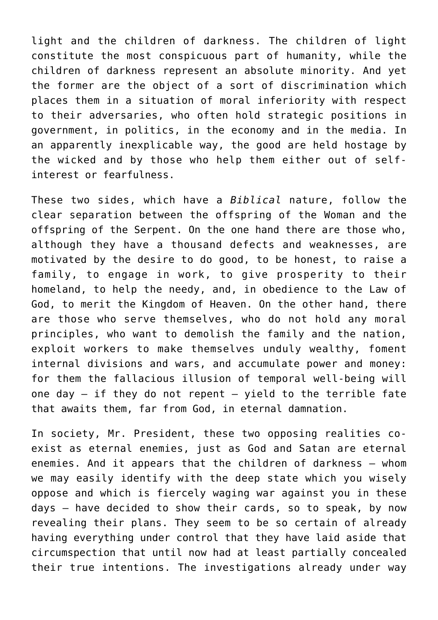light and the children of darkness. The children of light constitute the most conspicuous part of humanity, while the children of darkness represent an absolute minority. And yet the former are the object of a sort of discrimination which places them in a situation of moral inferiority with respect to their adversaries, who often hold strategic positions in government, in politics, in the economy and in the media. In an apparently inexplicable way, the good are held hostage by the wicked and by those who help them either out of selfinterest or fearfulness.

These two sides, which have a *Biblical* nature, follow the clear separation between the offspring of the Woman and the offspring of the Serpent. On the one hand there are those who, although they have a thousand defects and weaknesses, are motivated by the desire to do good, to be honest, to raise a family, to engage in work, to give prosperity to their homeland, to help the needy, and, in obedience to the Law of God, to merit the Kingdom of Heaven. On the other hand, there are those who serve themselves, who do not hold any moral principles, who want to demolish the family and the nation, exploit workers to make themselves unduly wealthy, foment internal divisions and wars, and accumulate power and money: for them the fallacious illusion of temporal well-being will one day  $-$  if they do not repent  $-$  yield to the terrible fate that awaits them, far from God, in eternal damnation.

In society, Mr. President, these two opposing realities coexist as eternal enemies, just as God and Satan are eternal enemies. And it appears that the children of darkness – whom we may easily identify with the deep state which you wisely oppose and which is fiercely waging war against you in these days – have decided to show their cards, so to speak, by now revealing their plans. They seem to be so certain of already having everything under control that they have laid aside that circumspection that until now had at least partially concealed their true intentions. The investigations already under way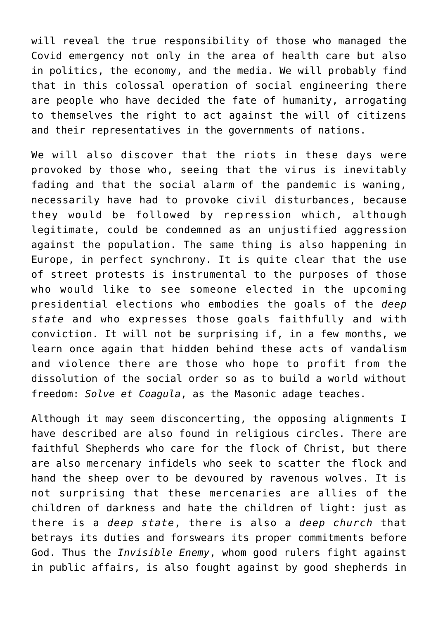will reveal the true responsibility of those who managed the Covid emergency not only in the area of health care but also in politics, the economy, and the media. We will probably find that in this colossal operation of social engineering there are people who have decided the fate of humanity, arrogating to themselves the right to act against the will of citizens and their representatives in the governments of nations.

We will also discover that the riots in these days were provoked by those who, seeing that the virus is inevitably fading and that the social alarm of the pandemic is waning, necessarily have had to provoke civil disturbances, because they would be followed by repression which, although legitimate, could be condemned as an unjustified aggression against the population. The same thing is also happening in Europe, in perfect synchrony. It is quite clear that the use of street protests is instrumental to the purposes of those who would like to see someone elected in the upcoming presidential elections who embodies the goals of the *deep state* and who expresses those goals faithfully and with conviction. It will not be surprising if, in a few months, we learn once again that hidden behind these acts of vandalism and violence there are those who hope to profit from the dissolution of the social order so as to build a world without freedom: *Solve et Coagula*, as the Masonic adage teaches.

Although it may seem disconcerting, the opposing alignments I have described are also found in religious circles. There are faithful Shepherds who care for the flock of Christ, but there are also mercenary infidels who seek to scatter the flock and hand the sheep over to be devoured by ravenous wolves. It is not surprising that these mercenaries are allies of the children of darkness and hate the children of light: just as there is a *deep state*, there is also a *deep church* that betrays its duties and forswears its proper commitments before God. Thus the *Invisible Enemy*, whom good rulers fight against in public affairs, is also fought against by good shepherds in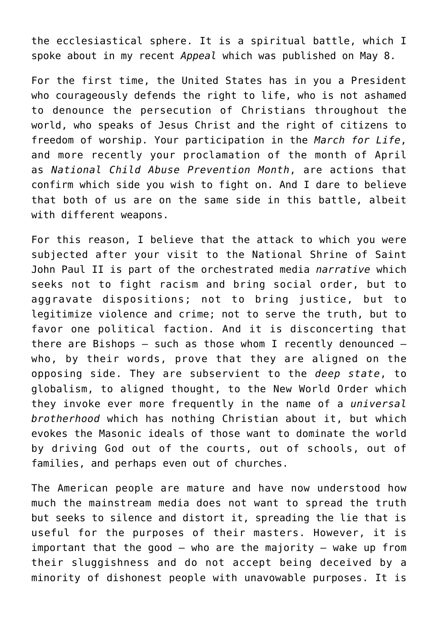the ecclesiastical sphere. It is a spiritual battle, which I spoke about in my recent *Appeal* which was published on May 8.

For the first time, the United States has in you a President who courageously defends the right to life, who is not ashamed to denounce the persecution of Christians throughout the world, who speaks of Jesus Christ and the right of citizens to freedom of worship. Your participation in the *March for Life*, and more recently your proclamation of the month of April as *National Child Abuse Prevention Month*, are actions that confirm which side you wish to fight on. And I dare to believe that both of us are on the same side in this battle, albeit with different weapons.

For this reason, I believe that the attack to which you were subjected after your visit to the National Shrine of Saint John Paul II is part of the orchestrated media *narrative* which seeks not to fight racism and bring social order, but to aggravate dispositions; not to bring justice, but to legitimize violence and crime; not to serve the truth, but to favor one political faction. And it is disconcerting that there are Bishops – such as those whom I recently denounced – who, by their words, prove that they are aligned on the opposing side. They are subservient to the *deep state*, to globalism, to aligned thought, to the New World Order which they invoke ever more frequently in the name of a *universal brotherhood* which has nothing Christian about it, but which evokes the Masonic ideals of those want to dominate the world by driving God out of the courts, out of schools, out of families, and perhaps even out of churches.

The American people are mature and have now understood how much the mainstream media does not want to spread the truth but seeks to silence and distort it, spreading the lie that is useful for the purposes of their masters. However, it is important that the good – who are the majority – wake up from their sluggishness and do not accept being deceived by a minority of dishonest people with unavowable purposes. It is